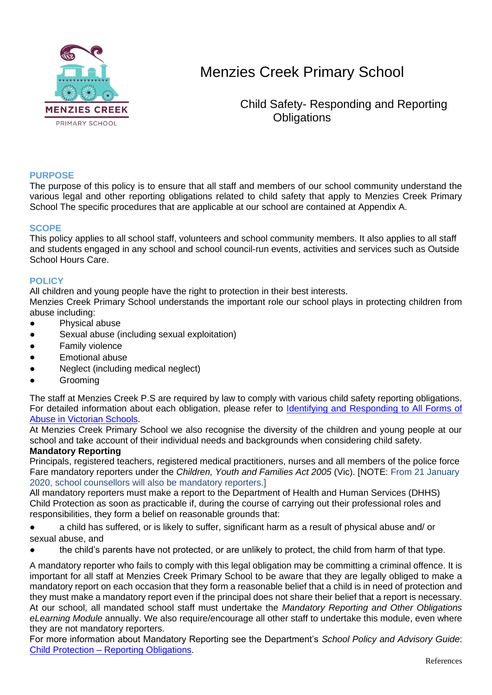

 Child Safety- Responding and Reporting **Obligations** 

### **PURPOSE**

The purpose of this policy is to ensure that all staff and members of our school community understand the various legal and other reporting obligations related to child safety that apply to Menzies Creek Primary School The specific procedures that are applicable at our school are contained at Appendix A.

#### **SCOPE**

This policy applies to all school staff, volunteers and school community members. It also applies to all staff and students engaged in any school and school council-run events, activities and services such as Outside School Hours Care.

#### **POLICY**

All children and young people have the right to protection in their best interests.

Menzies Creek Primary School understands the important role our school plays in protecting children from abuse including:

- Physical abuse
- Sexual abuse (including sexual exploitation)
- **Family violence**
- **Emotional abuse**
- Neglect (including medical neglect)
- **Grooming**

The staff at Menzies Creek P.S are required by law to comply with various child safety reporting obligations. For detailed information about each obligation, please refer to [Identifying and Responding to All Forms of](https://www.education.vic.gov.au/Documents/about/programs/health/protect/ChildSafeStandard5_SchoolsGuide.pdf)  [Abuse in Victorian Schools.](https://www.education.vic.gov.au/Documents/about/programs/health/protect/ChildSafeStandard5_SchoolsGuide.pdf)

At Menzies Creek Primary School we also recognise the diversity of the children and young people at our school and take account of their individual needs and backgrounds when considering child safety.

#### **Mandatory Reporting**

Principals, registered teachers, registered medical practitioners, nurses and all members of the police force Fare mandatory reporters under the *Children, Youth and Families Act 2005* (Vic). [NOTE: From 21 January 2020, school counsellors will also be mandatory reporters.]

All mandatory reporters must make a report to the Department of Health and Human Services (DHHS) Child Protection as soon as practicable if, during the course of carrying out their professional roles and responsibilities, they form a belief on reasonable grounds that:

- a child has suffered, or is likely to suffer, significant harm as a result of physical abuse and/ or sexual abuse, and
- the child's parents have not protected, or are unlikely to protect, the child from harm of that type.

A mandatory reporter who fails to comply with this legal obligation may be committing a criminal offence. It is important for all staff at Menzies Creek Primary School to be aware that they are legally obliged to make a mandatory report on each occasion that they form a reasonable belief that a child is in need of protection and they must make a mandatory report even if the principal does not share their belief that a report is necessary. At our school, all mandated school staff must undertake the *Mandatory Reporting and Other Obligations eLearning Module* annually. We also require/encourage all other staff to undertake this module, even where they are not mandatory reporters.

For more information about Mandatory Reporting see the Department's *School Policy and Advisory Guide*: Child Protection – [Reporting Obligations.](http://www.education.vic.gov.au/school/principals/spag/safety/Pages/childprotectobligation.aspx)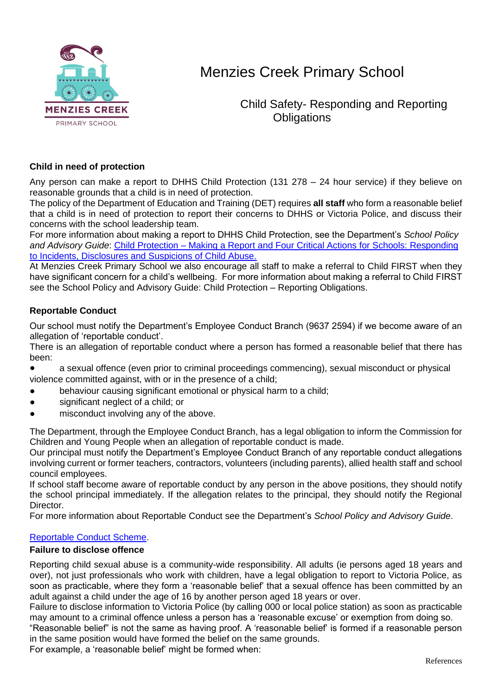

 Child Safety- Responding and Reporting **Obligations** 

### **Child in need of protection**

Any person can make a report to DHHS Child Protection (131 278 – 24 hour service) if they believe on reasonable grounds that a child is in need of protection.

The policy of the Department of Education and Training (DET) requires **all staff** who form a reasonable belief that a child is in need of protection to report their concerns to DHHS or Victoria Police, and discuss their concerns with the school leadership team.

For more information about making a report to DHHS Child Protection, see the Department's *School Policy and Advisory Guide*: [Child Protection –](http://www.education.vic.gov.au/school/principals/spag/safety/Pages/childprotectreporting.aspx) Making a Report and [Four Critical Actions for Schools: Responding](https://www.education.vic.gov.au/Documents/about/programs/health/protect/FourCriticalActions_ChildAbuse.pdf)  [to Incidents, Disclosures and Suspicions of Child Abuse.](https://www.education.vic.gov.au/Documents/about/programs/health/protect/FourCriticalActions_ChildAbuse.pdf)

At Menzies Creek Primary School we also encourage all staff to make a referral to Child FIRST when they have significant concern for a child's wellbeing. For more information about making a referral to Child FIRST see the School Policy and Advisory Guide: Child Protection – [Reporting Obligations.](https://www.education.vic.gov.au/school/principals/spag/safety/Pages/childprotectobligation.aspx)

### **Reportable Conduct**

Our school must notify the Department's Employee Conduct Branch (9637 2594) if we become aware of an allegation of 'reportable conduct'.

There is an allegation of reportable conduct where a person has formed a reasonable belief that there has been:

- a sexual offence (even prior to criminal proceedings commencing), sexual misconduct or physical violence committed against, with or in the presence of a child;
- behaviour causing significant emotional or physical harm to a child;
- significant neglect of a child; or
- misconduct involving any of the above.

The Department, through the Employee Conduct Branch, has a legal obligation to inform the Commission for Children and Young People when an allegation of reportable conduct is made.

Our principal must notify the Department's Employee Conduct Branch of any reportable conduct allegations involving current or former teachers, contractors, volunteers (including parents), allied health staff and school council employees.

If school staff become aware of reportable conduct by any person in the above positions, they should notify the school principal immediately. If the allegation relates to the principal, they should notify the Regional Director.

For more information about Reportable Conduct see the Department's *School Policy and Advisory Guide*.

#### [Reportable Conduct Scheme.](http://www.education.vic.gov.au/school/principals/spag/safety/Pages/reportableconductscheme.aspx)

#### **Failure to disclose offence**

Reporting child sexual abuse is a community-wide responsibility. All adults (ie persons aged 18 years and over), not just professionals who work with children, have a legal obligation to report to Victoria Police, as soon as practicable, where they form a 'reasonable belief' that a sexual offence has been committed by an adult against a child under the age of 16 by another person aged 18 years or over.

Failure to disclose information to Victoria Police (by calling 000 or local police station) as soon as practicable may amount to a criminal offence unless a person has a 'reasonable excuse' or exemption from doing so.

"Reasonable belief" is not the same as having proof. A 'reasonable belief' is formed if a reasonable person in the same position would have formed the belief on the same grounds.

For example, a 'reasonable belief' might be formed when: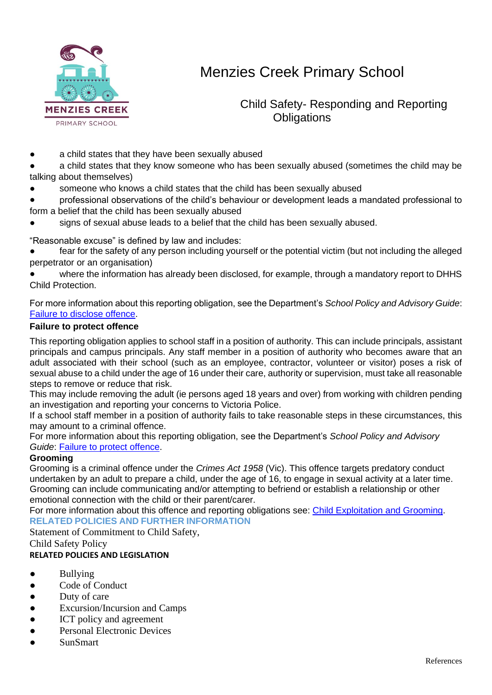

 Child Safety- Responding and Reporting **Obligations** 

- a child states that they have been sexually abused
- a child states that they know someone who has been sexually abused (sometimes the child may be talking about themselves)
- someone who knows a child states that the child has been sexually abused
- professional observations of the child's behaviour or development leads a mandated professional to form a belief that the child has been sexually abused
- signs of sexual abuse leads to a belief that the child has been sexually abused.

"Reasonable excuse" is defined by law and includes:

- fear for the safety of any person including yourself or the potential victim (but not including the alleged perpetrator or an organisation)
- where the information has already been disclosed, for example, through a mandatory report to DHHS Child Protection.

For more information about this reporting obligation, see the Department's *School Policy and Advisory Guide*: [Failure to disclose offence.](http://www.education.vic.gov.au/school/principals/spag/safety/Pages/childprotectobligation.aspx)

#### **Failure to protect offence**

This reporting obligation applies to school staff in a position of authority. This can include principals, assistant principals and campus principals. Any staff member in a position of authority who becomes aware that an adult associated with their school (such as an employee, contractor, volunteer or visitor) poses a risk of sexual abuse to a child under the age of 16 under their care, authority or supervision, must take all reasonable steps to remove or reduce that risk.

This may include removing the adult (ie persons aged 18 years and over) from working with children pending an investigation and reporting your concerns to Victoria Police.

If a school staff member in a position of authority fails to take reasonable steps in these circumstances, this may amount to a criminal offence.

For more information about this reporting obligation, see the Department's *School Policy and Advisory Guide*: [Failure to protect offence.](http://www.education.vic.gov.au/school/principals/spag/safety/Pages/childprotectobligation.aspx)

#### **Grooming**

Grooming is a criminal offence under the *Crimes Act 1958* (Vic). This offence targets predatory conduct undertaken by an adult to prepare a child, under the age of 16, to engage in sexual activity at a later time. Grooming can include communicating and/or attempting to befriend or establish a relationship or other emotional connection with the child or their parent/carer.

For more information about this offence and reporting obligations see: [Child Exploitation and Grooming.](https://www.education.vic.gov.au/school/teachers/health/childprotection/Pages/expolitationgrooming.aspx) **RELATED POLICIES AND FURTHER INFORMATION**

#### Statement of Commitment to Child Safety,

Child Safety Policy

#### **RELATED POLICIES AND LEGISLATION**

- Bullying
- Code of Conduct
- Duty of care
- Excursion/Incursion and Camps
- ICT policy and agreement
- Personal Electronic Devices
- **SunSmart**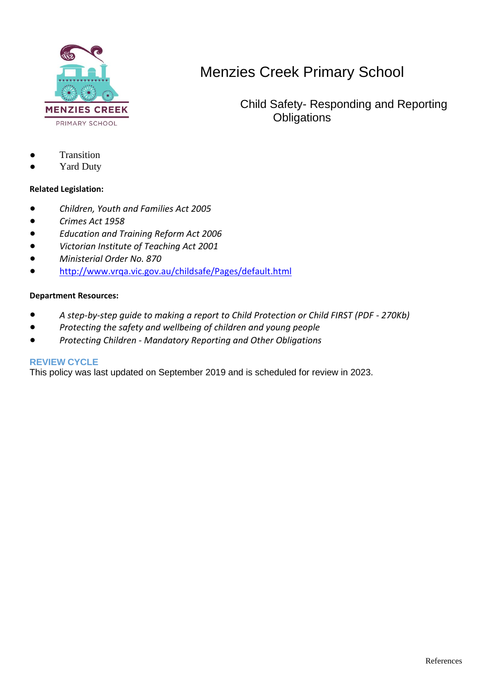

 Child Safety- Responding and Reporting **Obligations** 

- **Transition**
- **Yard Duty**

#### **Related Legislation:**

- *Children, Youth and Families Act 2005*
- *Crimes Act 1958*
- *Education and Training Reform Act 2006*
- *Victorian Institute of Teaching Act 2001*
- *Ministerial Order No. 870*
- <http://www.vrqa.vic.gov.au/childsafe/Pages/default.html>

#### **Department Resources:**

- *A step-by-step guide to making a report to Child Protection or Child FIRST (PDF - 270Kb)*
- *Protecting the safety and wellbeing of children and young people*
- *Protecting Children - Mandatory Reporting and Other Obligations*

#### **REVIEW CYCLE**

This policy was last updated on September 2019 and is scheduled for review in 2023.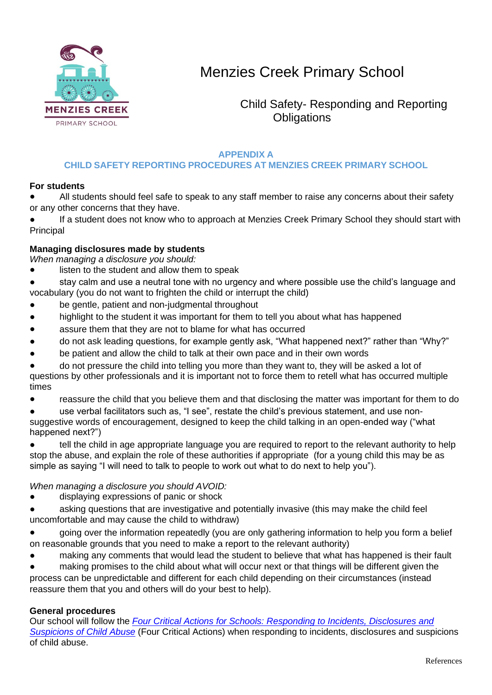

 Child Safety- Responding and Reporting **Obligations** 

### **APPENDIX A**

## **CHILD SAFETY REPORTING PROCEDURES AT MENZIES CREEK PRIMARY SCHOOL**

#### **For students**

All students should feel safe to speak to any staff member to raise any concerns about their safety or any other concerns that they have.

If a student does not know who to approach at Menzies Creek Primary School they should start with Principal

### **Managing disclosures made by students**

*When managing a disclosure you should:*

listen to the student and allow them to speak

stay calm and use a neutral tone with no urgency and where possible use the child's language and vocabulary (you do not want to frighten the child or interrupt the child)

- be gentle, patient and non-judgmental throughout
- highlight to the student it was important for them to tell you about what has happened
- assure them that they are not to blame for what has occurred
- do not ask leading questions, for example gently ask, "What happened next?" rather than "Why?"
- be patient and allow the child to talk at their own pace and in their own words
- do not pressure the child into telling you more than they want to, they will be asked a lot of questions by other professionals and it is important not to force them to retell what has occurred multiple times
- reassure the child that you believe them and that disclosing the matter was important for them to do

use verbal facilitators such as, "I see", restate the child's previous statement, and use nonsuggestive words of encouragement, designed to keep the child talking in an open-ended way ("what happened next?")

tell the child in age appropriate language you are required to report to the relevant authority to help stop the abuse, and explain the role of these authorities if appropriate (for a young child this may be as simple as saying "I will need to talk to people to work out what to do next to help you").

#### *When managing a disclosure you should AVOID:*

- displaying expressions of panic or shock
- asking questions that are investigative and potentially invasive (this may make the child feel uncomfortable and may cause the child to withdraw)
- going over the information repeatedly (you are only gathering information to help you form a belief on reasonable grounds that you need to make a report to the relevant authority)
- making any comments that would lead the student to believe that what has happened is their fault

making promises to the child about what will occur next or that things will be different given the process can be unpredictable and different for each child depending on their circumstances (instead reassure them that you and others will do your best to help).

### **General procedures**

Our school will follow the *[Four Critical Actions for Schools: Responding to Incidents, Disclosures and](https://www.education.vic.gov.au/Documents/about/programs/health/protect/FourCriticalActions_ChildAbuse.pdf)  [Suspicions of Child Abuse](https://www.education.vic.gov.au/Documents/about/programs/health/protect/FourCriticalActions_ChildAbuse.pdf)* (Four Critical Actions) when responding to incidents, disclosures and suspicions of child abuse.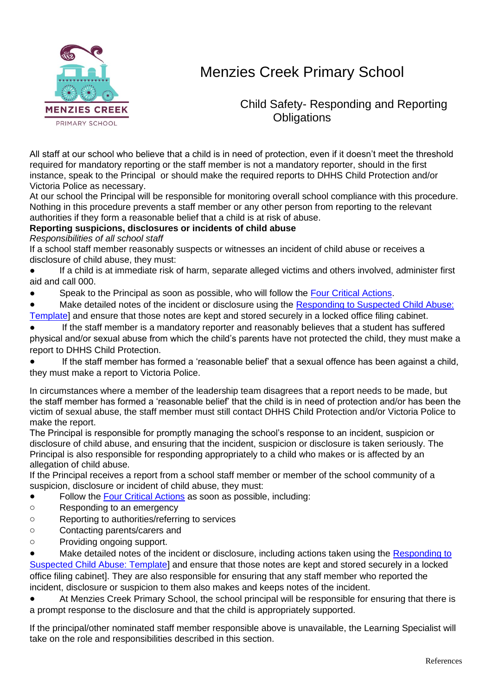

 Child Safety- Responding and Reporting **Obligations** 

All staff at our school who believe that a child is in need of protection, even if it doesn't meet the threshold required for mandatory reporting or the staff member is not a mandatory reporter, should in the first instance, speak to the Principal or should make the required reports to DHHS Child Protection and/or Victoria Police as necessary.

At our school the Principal will be responsible for monitoring overall school compliance with this procedure. Nothing in this procedure prevents a staff member or any other person from reporting to the relevant authorities if they form a reasonable belief that a child is at risk of abuse.

### **Reporting suspicions, disclosures or incidents of child abuse**

*Responsibilities of all school staff*

If a school staff member reasonably suspects or witnesses an incident of child abuse or receives a disclosure of child abuse, they must:

- If a child is at immediate risk of harm, separate alleged victims and others involved, administer first aid and call 000.
- Speak to the Principal as soon as possible, who will follow the [Four Critical Actions.](https://www.education.vic.gov.au/Documents/about/programs/health/protect/FourCriticalActions_ChildAbuse.pdf)
- Make detailed notes of the incident or disclosure using the Responding to Suspected Child Abuse:
- [Template\]](https://www.education.vic.gov.au/Documents/about/programs/health/protect/PROTECT_Schoolstemplate.pdf) and ensure that those notes are kept and stored securely in a locked office filing cabinet.
- If the staff member is a mandatory reporter and reasonably believes that a student has suffered physical and/or sexual abuse from which the child's parents have not protected the child, they must make a report to DHHS Child Protection.
- If the staff member has formed a 'reasonable belief' that a sexual offence has been against a child, they must make a report to Victoria Police.
- In circumstances where a member of the leadership team disagrees that a report needs to be made, but the staff member has formed a 'reasonable belief' that the child is in need of protection and/or has been the victim of sexual abuse, the staff member must still contact DHHS Child Protection and/or Victoria Police to make the report.

The Principal is responsible for promptly managing the school's response to an incident, suspicion or disclosure of child abuse, and ensuring that the incident, suspicion or disclosure is taken seriously. The Principal is also responsible for responding appropriately to a child who makes or is affected by an allegation of child abuse.

If the Principal receives a report from a school staff member or member of the school community of a suspicion, disclosure or incident of child abuse, they must:

- Follow the [Four Critical Actions](https://www.education.vic.gov.au/Documents/about/programs/health/protect/FourCriticalActions_ChildAbuse.pdf) as soon as possible, including:
- o Responding to an emergency
- o Reporting to authorities/referring to services
- o Contacting parents/carers and
- o Providing ongoing support.

Make detailed notes of the incident or disclosure, including actions taken using the Responding to [Suspected Child Abuse: Template\]](https://www.education.vic.gov.au/Documents/about/programs/health/protect/PROTECT_Schoolstemplate.pdf) and ensure that those notes are kept and stored securely in a locked office filing cabinet]. They are also responsible for ensuring that any staff member who reported the incident, disclosure or suspicion to them also makes and keeps notes of the incident.

At Menzies Creek Primary School, the school principal will be responsible for ensuring that there is a prompt response to the disclosure and that the child is appropriately supported.

If the principal/other nominated staff member responsible above is unavailable, the Learning Specialist will take on the role and responsibilities described in this section.